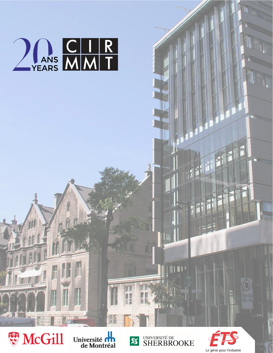





三国 三国



ł

 $\mathbf{H}$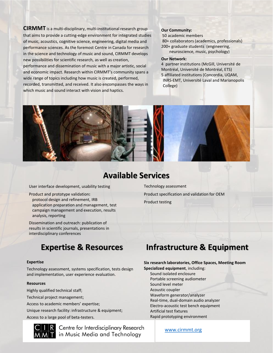**CIRMMT** is a multi-disciplinary, multi-institutional research group that aims to provide a cutting-edge environment for integrated studies of music, acoustics, cognitive science, engineering, digital media and performance sciences. As the foremost Centre in Canada for research in the science and technology of music and sound, CIRMMT develops new possibilities for scientific research, as well as creation, performance and dissemination of music with a major artistic, social and economic impact. Research within CIRMMT's community spans a wide range of topics including how music is created, performed, recorded, transmitted, and received. It also encompasses the ways in which music and sound interact with vision and haptics.

#### **Our Community:**

50 academic members 80+ collaborators (academics, professionals) 200+ graduate students (engineering, neuroscience, music, psychology)

#### **Our Network:**

4 partner institutions (McGill, Université de Montréal, Université de Montréal, ETS) 5 affiliated institutions (Concordia, UQAM, INRS-EMT, Université Laval and Marianopolis College)



# **Available Services**

User interface development, usability testing

Product and prototype validation**:**  protocol design and refinement, IRB application preparation and management, test campaign management and execution, results analysis, reporting

Dissemination and outreach: publication of results in scientific journals, presentations in interdisciplinary conferences

# **Expertise & Resources**

#### **Expertise**

Technology assessment, systems specification, tests design and implementation, user experience evaluation.

#### **Resources**

Highly qualified technical staff; Technical project management; Access to academic members' expertise; Unique research facility: infrastructure & equipment; Access to a large pool of beta-testers.

Centre for Interdisciplinary Research **T** in Music Media and Technology

Technology assessment Product specification and validation for OEM Product testing

# **Infrastructure & Equipment**

### **Six research laboratories, Office Spaces, Meeting Room**

**Specialized equipment**, including: Sound isolated enclosure Portable screening audiometer Sound level meter Acoustic coupler Waveform generator/analyzer

Real-time, dual-domain audio analyzer

Electro-acoustic test bench equipment

Artificial test fixtures

Rapid prototyping environment

[www.cirmmt.org](http://www.cirmmt.org/)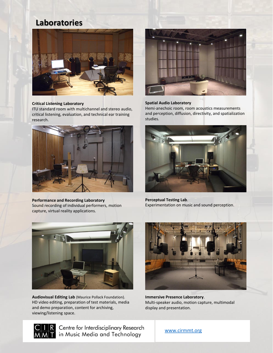# **Laboratories**



#### **Critical Listening Laboratory**

ITU standard room with multichannel and stereo audio, critical listening, evaluation, and technical ear training research.



**Performance and Recording Laboratory** Sound recording of individual performers, motion capture, virtual reality applications.



#### **Spatial Audio Laboratory**

Hemi-anechoic room, room acoustics measurements and perception, diffusion, directivity, and spatialization studies.



**Perceptual Testing Lab**. Experimentation on music and sound perception.



**Audiovisual Editing Lab** (Maurice Pollack Foundation). HD video editing, preparation of test materials, media and demo preparation, content for archiving, viewing/listening space.



**Immersive Presence Laboratory**. Multi-speaker audio, motion capture, multimodal display and presentation.



Centre for Interdisciplinary Research in Music Media and Technology

[www.cirmmt.org](http://www.cirmmt.org/)